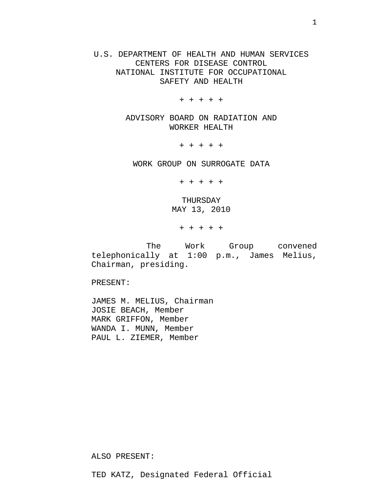U.S. DEPARTMENT OF HEALTH AND HUMAN SERVICES CENTERS FOR DISEASE CONTROL NATIONAL INSTITUTE FOR OCCUPATIONAL SAFETY AND HEALTH

+ + + + +

ADVISORY BOARD ON RADIATION AND WORKER HEALTH

+ + + + +

WORK GROUP ON SURROGATE DATA

+ + + + +

THURSDAY MAY 13, 2010

+ + + + +

 The Work Group convened telephonically at 1:00 p.m., James Melius, Chairman, presiding.

PRESENT:

JAMES M. MELIUS, Chairman JOSIE BEACH, Member MARK GRIFFON, Member WANDA I. MUNN, Member PAUL L. ZIEMER, Member

ALSO PRESENT:

TED KATZ, Designated Federal Official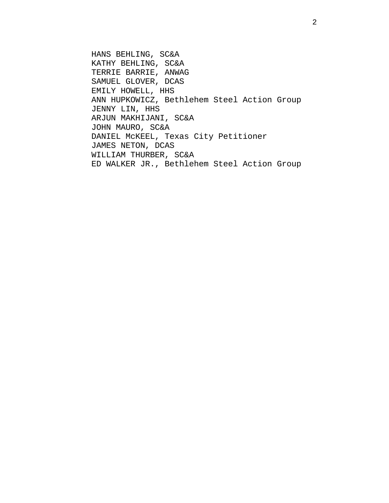HANS BEHLING, SC&A KATHY BEHLING, SC&A TERRIE BARRIE, ANWAG SAMUEL GLOVER, DCAS EMILY HOWELL, HHS ANN HUPKOWICZ, Bethlehem Steel Action Group JENNY LIN, HHS ARJUN MAKHIJANI, SC&A JOHN MAURO, SC&A DANIEL McKEEL, Texas City Petitioner JAMES NETON, DCAS WILLIAM THURBER, SC&A ED WALKER JR., Bethlehem Steel Action Group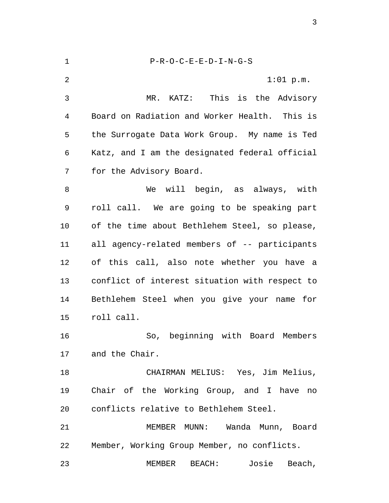1 P-R-O-C-E-E-D-I-N-G-S 2 1:01 p.m. 3 MR. KATZ: This is the Advisory 4 Board on Radiation and Worker Health. This is 5 the Surrogate Data Work Group. My name is Ted 6 Katz, and I am the designated federal official 7 for the Advisory Board. 8 We will begin, as always, with 9 roll call. We are going to be speaking part 10 of the time about Bethlehem Steel, so please, 11 all agency-related members of -- participants 12 of this call, also note whether you have a 13 conflict of interest situation with respect to 14 Bethlehem Steel when you give your name for 15 roll call. 16 So, beginning with Board Members 17 and the Chair. 18 CHAIRMAN MELIUS: Yes, Jim Melius, 19 Chair of the Working Group, and I have no 20 conflicts relative to Bethlehem Steel. 21 MEMBER MUNN: Wanda Munn, Board 22 Member, Working Group Member, no conflicts. 23 MEMBER BEACH: Josie Beach,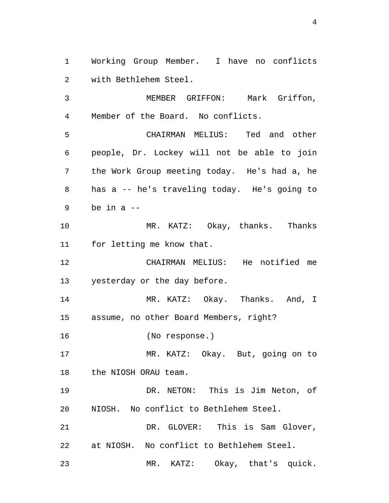1 Working Group Member. I have no conflicts 2 with Bethlehem Steel.

3 MEMBER GRIFFON: Mark Griffon, 4 Member of the Board. No conflicts.

5 CHAIRMAN MELIUS: Ted and other 6 people, Dr. Lockey will not be able to join 7 the Work Group meeting today. He's had a, he 8 has a -- he's traveling today. He's going to  $9$  be in a  $-$ 

10 MR. KATZ: Okay, thanks. Thanks 11 for letting me know that.

12 CHAIRMAN MELIUS: He notified me 13 yesterday or the day before.

14 MR. KATZ: Okay. Thanks. And, I 15 assume, no other Board Members, right?

16 (No response.)

17 MR. KATZ: Okay. But, going on to 18 the NIOSH ORAU team.

19 DR. NETON: This is Jim Neton, of 20 NIOSH. No conflict to Bethlehem Steel.

21 DR. GLOVER: This is Sam Glover, 22 at NIOSH. No conflict to Bethlehem Steel.

23 MR. KATZ: Okay, that's quick.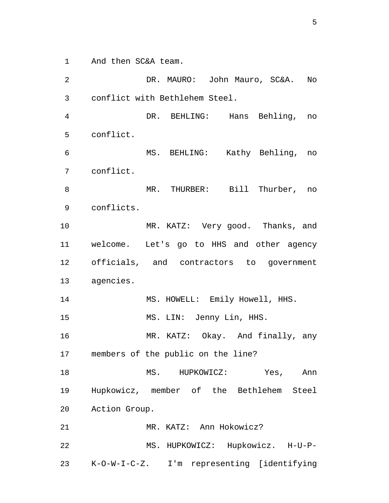1 And then SC&A team.

2 DR. MAURO: John Mauro, SC&A. No 3 conflict with Bethlehem Steel. 4 DR. BEHLING: Hans Behling, no 5 conflict. 6 MS. BEHLING: Kathy Behling, no 7 conflict. 8 MR. THURBER: Bill Thurber, no 9 conflicts. 10 MR. KATZ: Very good. Thanks, and 11 welcome. Let's go to HHS and other agency 12 officials, and contractors to government 13 agencies. 14 MS. HOWELL: Emily Howell, HHS. 15 MS. LIN: Jenny Lin, HHS. 16 MR. KATZ: Okay. And finally, any 17 members of the public on the line? 18 MS. HUPKOWICZ: Yes, Ann 19 Hupkowicz, member of the Bethlehem Steel 20 Action Group. 21 MR. KATZ: Ann Hokowicz? 22 MS. HUPKOWICZ: Hupkowicz. H-U-P-23 K-O-W-I-C-Z. I'm representing [identifying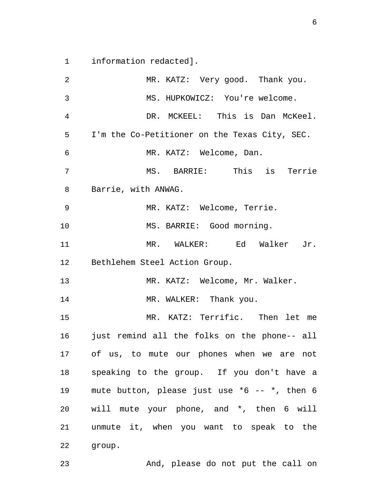1 information redacted].

2 MR. KATZ: Very good. Thank you. 3 MS. HUPKOWICZ: You're welcome. 4 DR. MCKEEL: This is Dan McKeel. 5 I'm the Co-Petitioner on the Texas City, SEC. 6 MR. KATZ: Welcome, Dan. 7 MS. BARRIE: This is Terrie 8 Barrie, with ANWAG. 9 MR. KATZ: Welcome, Terrie. 10 MS. BARRIE: Good morning. 11 MR. WALKER: Ed Walker Jr. 12 Bethlehem Steel Action Group. 13 MR. KATZ: Welcome, Mr. Walker. 14 MR. WALKER: Thank you. 15 MR. KATZ: Terrific. Then let me 16 just remind all the folks on the phone-- all 17 of us, to mute our phones when we are not 18 speaking to the group. If you don't have a 19 mute button, please just use \*6 -- \*, then 6 20 will mute your phone, and \*, then 6 will 21 unmute it, when you want to speak to the 22 group.

23 And, please do not put the call on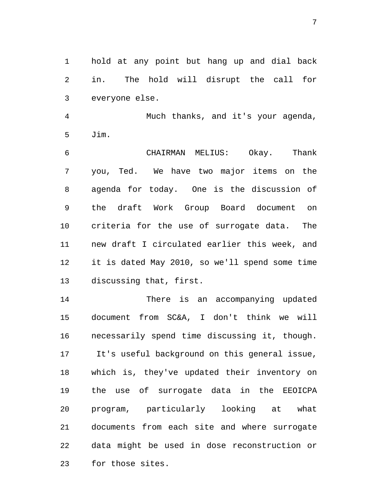1 hold at any point but hang up and dial back 2 in. The hold will disrupt the call for 3 everyone else.

4 Much thanks, and it's your agenda, 5 Jim.

6 CHAIRMAN MELIUS: Okay. Thank 7 you, Ted. We have two major items on the 8 agenda for today. One is the discussion of 9 the draft Work Group Board document on 10 criteria for the use of surrogate data. The 11 new draft I circulated earlier this week, and 12 it is dated May 2010, so we'll spend some time 13 discussing that, first.

14 There is an accompanying updated 15 document from SC&A, I don't think we will 16 necessarily spend time discussing it, though. 17 It's useful background on this general issue, 18 which is, they've updated their inventory on 19 the use of surrogate data in the EEOICPA 20 program, particularly looking at what 21 documents from each site and where surrogate 22 data might be used in dose reconstruction or 23 for those sites.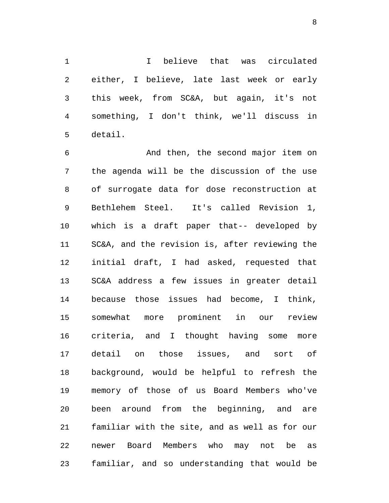1 I believe that was circulated 2 either, I believe, late last week or early 3 this week, from SC&A, but again, it's not 4 something, I don't think, we'll discuss in 5 detail.

6 And then, the second major item on 7 the agenda will be the discussion of the use 8 of surrogate data for dose reconstruction at 9 Bethlehem Steel. It's called Revision 1, 10 which is a draft paper that-- developed by 11 SC&A, and the revision is, after reviewing the 12 initial draft, I had asked, requested that 13 SC&A address a few issues in greater detail 14 because those issues had become, I think, 15 somewhat more prominent in our review 16 criteria, and I thought having some more 17 detail on those issues, and sort of 18 background, would be helpful to refresh the 19 memory of those of us Board Members who've 20 been around from the beginning, and are 21 familiar with the site, and as well as for our 22 newer Board Members who may not be as 23 familiar, and so understanding that would be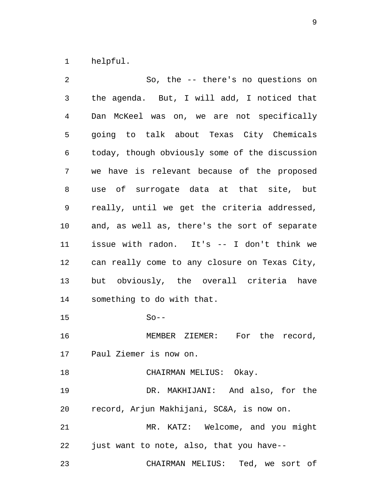1 helpful.

2 So, the -- there's no questions on 3 the agenda. But, I will add, I noticed that 4 Dan McKeel was on, we are not specifically 5 going to talk about Texas City Chemicals 6 today, though obviously some of the discussion 7 we have is relevant because of the proposed 8 use of surrogate data at that site, but 9 really, until we get the criteria addressed, 10 and, as well as, there's the sort of separate 11 issue with radon. It's -- I don't think we 12 can really come to any closure on Texas City, 13 but obviously, the overall criteria have 14 something to do with that. 15 So-- 16 MEMBER ZIEMER: For the record, 17 Paul Ziemer is now on. 18 CHAIRMAN MELIUS: Okay. 19 DR. MAKHIJANI: And also, for the 20 record, Arjun Makhijani, SC&A, is now on. 21 MR. KATZ: Welcome, and you might 22 just want to note, also, that you have-- 23 CHAIRMAN MELIUS: Ted, we sort of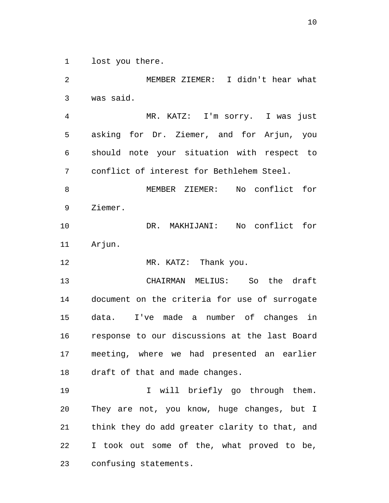1 lost you there.

2 MEMBER ZIEMER: I didn't hear what 3 was said. 4 MR. KATZ: I'm sorry. I was just 5 asking for Dr. Ziemer, and for Arjun, you 6 should note your situation with respect to 7 conflict of interest for Bethlehem Steel. 8 MEMBER ZIEMER: No conflict for 9 Ziemer. 10 DR. MAKHIJANI: No conflict for 11 Arjun. 12 MR. KATZ: Thank you. 13 CHAIRMAN MELIUS: So the draft 14 document on the criteria for use of surrogate 15 data. I've made a number of changes in 16 response to our discussions at the last Board 17 meeting, where we had presented an earlier 18 draft of that and made changes. 19 10 I will briefly go through them. 20 They are not, you know, huge changes, but I 21 think they do add greater clarity to that, and 22 I took out some of the, what proved to be, 23 confusing statements.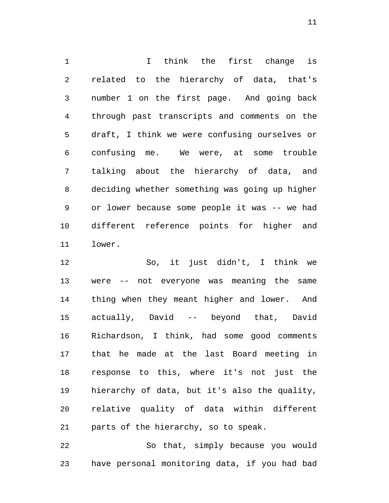1 I think the first change is 2 related to the hierarchy of data, that's 3 number 1 on the first page. And going back 4 through past transcripts and comments on the 5 draft, I think we were confusing ourselves or 6 confusing me. We were, at some trouble 7 talking about the hierarchy of data, and 8 deciding whether something was going up higher 9 or lower because some people it was -- we had 10 different reference points for higher and 11 lower.

12 So, it just didn't, I think we 13 were -- not everyone was meaning the same 14 thing when they meant higher and lower. And 15 actually, David -- beyond that, David 16 Richardson, I think, had some good comments 17 that he made at the last Board meeting in 18 response to this, where it's not just the 19 hierarchy of data, but it's also the quality, 20 relative quality of data within different 21 parts of the hierarchy, so to speak.

22 So that, simply because you would 23 have personal monitoring data, if you had bad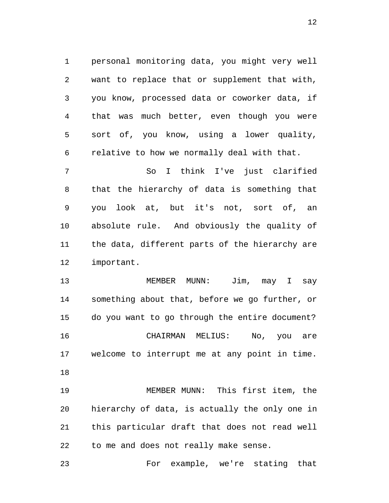1 personal monitoring data, you might very well 2 want to replace that or supplement that with, 3 you know, processed data or coworker data, if 4 that was much better, even though you were 5 sort of, you know, using a lower quality, 6 relative to how we normally deal with that.

7 So I think I've just clarified 8 that the hierarchy of data is something that 9 you look at, but it's not, sort of, an 10 absolute rule. And obviously the quality of 11 the data, different parts of the hierarchy are 12 important.

13 MEMBER MUNN: Jim, may I say 14 something about that, before we go further, or 15 do you want to go through the entire document? 16 CHAIRMAN MELIUS: No, you are 17 welcome to interrupt me at any point in time. 18

19 MEMBER MUNN: This first item, the 20 hierarchy of data, is actually the only one in 21 this particular draft that does not read well 22 to me and does not really make sense.

23 For example, we're stating that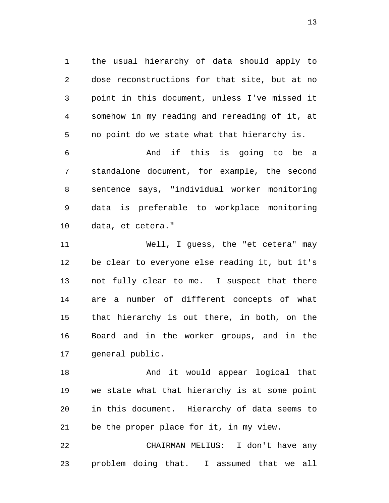1 the usual hierarchy of data should apply to 2 dose reconstructions for that site, but at no 3 point in this document, unless I've missed it 4 somehow in my reading and rereading of it, at 5 no point do we state what that hierarchy is.

6 And if this is going to be a 7 standalone document, for example, the second 8 sentence says, "individual worker monitoring 9 data is preferable to workplace monitoring 10 data, et cetera."

11 Well, I guess, the "et cetera" may 12 be clear to everyone else reading it, but it's 13 not fully clear to me. I suspect that there 14 are a number of different concepts of what 15 that hierarchy is out there, in both, on the 16 Board and in the worker groups, and in the 17 general public.

18 And it would appear logical that 19 we state what that hierarchy is at some point 20 in this document. Hierarchy of data seems to 21 be the proper place for it, in my view.

22 CHAIRMAN MELIUS: I don't have any 23 problem doing that. I assumed that we all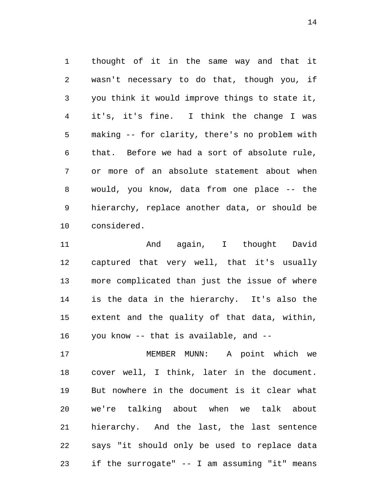1 thought of it in the same way and that it 2 wasn't necessary to do that, though you, if 3 you think it would improve things to state it, 4 it's, it's fine. I think the change I was 5 making -- for clarity, there's no problem with 6 that. Before we had a sort of absolute rule, 7 or more of an absolute statement about when 8 would, you know, data from one place -- the 9 hierarchy, replace another data, or should be 10 considered.

11 And again, I thought David 12 captured that very well, that it's usually 13 more complicated than just the issue of where 14 is the data in the hierarchy. It's also the 15 extent and the quality of that data, within, 16 you know -- that is available, and --

17 MEMBER MUNN: A point which we 18 cover well, I think, later in the document. 19 But nowhere in the document is it clear what 20 we're talking about when we talk about 21 hierarchy. And the last, the last sentence 22 says "it should only be used to replace data 23 if the surrogate" -- I am assuming "it" means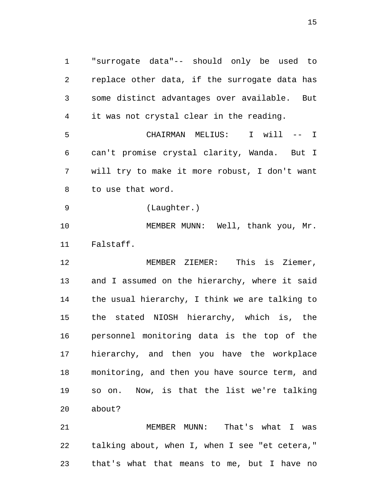1 "surrogate data"-- should only be used to 2 replace other data, if the surrogate data has 3 some distinct advantages over available. But 4 it was not crystal clear in the reading. 5 CHAIRMAN MELIUS: I will -- I 6 can't promise crystal clarity, Wanda. But I 7 will try to make it more robust, I don't want 8 to use that word. 9 (Laughter.) 10 MEMBER MUNN: Well, thank you, Mr. 11 Falstaff. 12 MEMBER ZIEMER: This is Ziemer, 13 and I assumed on the hierarchy, where it said 14 the usual hierarchy, I think we are talking to 15 the stated NIOSH hierarchy, which is, the 16 personnel monitoring data is the top of the 17 hierarchy, and then you have the workplace 18 monitoring, and then you have source term, and 19 so on. Now, is that the list we're talking 20 about?

21 MEMBER MUNN: That's what I was 22 talking about, when I, when I see "et cetera," 23 that's what that means to me, but I have no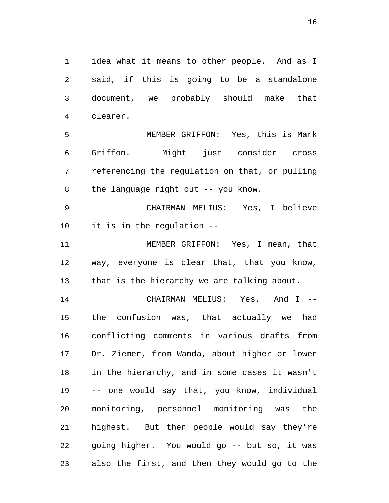1 idea what it means to other people. And as I 2 said, if this is going to be a standalone 3 document, we probably should make that 4 clearer.

5 MEMBER GRIFFON: Yes, this is Mark 6 Griffon. Might just consider cross 7 referencing the regulation on that, or pulling 8 the language right out -- you know.

9 CHAIRMAN MELIUS: Yes, I believe 10 it is in the regulation --

11 MEMBER GRIFFON: Yes, I mean, that 12 way, everyone is clear that, that you know, 13 that is the hierarchy we are talking about.

14 CHAIRMAN MELIUS: Yes. And I -- 15 the confusion was, that actually we had 16 conflicting comments in various drafts from 17 Dr. Ziemer, from Wanda, about higher or lower 18 in the hierarchy, and in some cases it wasn't 19 -- one would say that, you know, individual 20 monitoring, personnel monitoring was the 21 highest. But then people would say they're 22 going higher. You would go -- but so, it was 23 also the first, and then they would go to the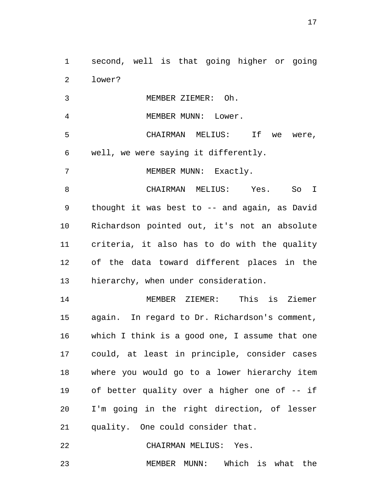1 second, well is that going higher or going 2 lower?

3 MEMBER ZIEMER: Oh.

4 MEMBER MUNN: Lower.

5 CHAIRMAN MELIUS: If we were, 6 well, we were saying it differently.

7 MEMBER MUNN: Exactly.

8 CHAIRMAN MELIUS: Yes. So I 9 thought it was best to -- and again, as David 10 Richardson pointed out, it's not an absolute 11 criteria, it also has to do with the quality 12 of the data toward different places in the 13 hierarchy, when under consideration.

14 MEMBER ZIEMER: This is Ziemer 15 again. In regard to Dr. Richardson's comment, 16 which I think is a good one, I assume that one 17 could, at least in principle, consider cases 18 where you would go to a lower hierarchy item 19 of better quality over a higher one of -- if 20 I'm going in the right direction, of lesser 21 quality. One could consider that.

22 CHAIRMAN MELIUS: Yes.

23 MEMBER MUNN: Which is what the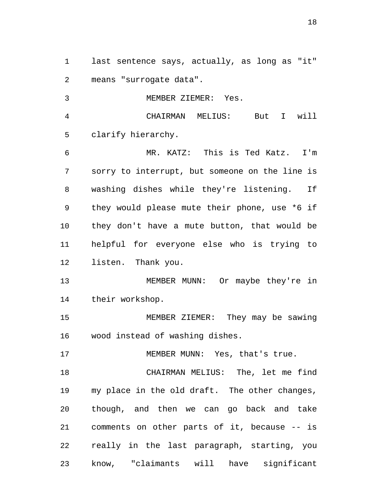1 last sentence says, actually, as long as "it" 2 means "surrogate data".

3 MEMBER ZIEMER: Yes.

4 CHAIRMAN MELIUS: But I will 5 clarify hierarchy.

6 MR. KATZ: This is Ted Katz. I'm 7 sorry to interrupt, but someone on the line is 8 washing dishes while they're listening. If 9 they would please mute their phone, use \*6 if 10 they don't have a mute button, that would be 11 helpful for everyone else who is trying to 12 listen. Thank you.

13 MEMBER MUNN: Or maybe they're in 14 their workshop.

15 MEMBER ZIEMER: They may be sawing 16 wood instead of washing dishes.

17 MEMBER MUNN: Yes, that's true.

18 CHAIRMAN MELIUS: The, let me find 19 my place in the old draft. The other changes, 20 though, and then we can go back and take 21 comments on other parts of it, because -- is 22 really in the last paragraph, starting, you 23 know, "claimants will have significant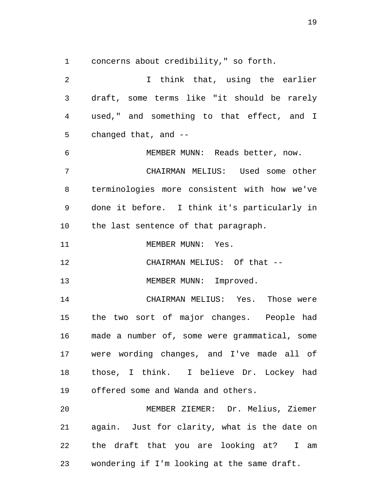1 concerns about credibility," so forth.

2 I think that, using the earlier 3 draft, some terms like "it should be rarely 4 used," and something to that effect, and I 5 changed that, and -- 6 MEMBER MUNN: Reads better, now. 7 CHAIRMAN MELIUS: Used some other 8 terminologies more consistent with how we've 9 done it before. I think it's particularly in 10 the last sentence of that paragraph. 11 MEMBER MUNN: Yes. 12 CHAIRMAN MELIUS: Of that --13 MEMBER MUNN: Improved. 14 CHAIRMAN MELIUS: Yes. Those were 15 the two sort of major changes. People had 16 made a number of, some were grammatical, some 17 were wording changes, and I've made all of 18 those, I think. I believe Dr. Lockey had 19 offered some and Wanda and others. 20 MEMBER ZIEMER: Dr. Melius, Ziemer 21 again. Just for clarity, what is the date on 22 the draft that you are looking at? I am 23 wondering if I'm looking at the same draft.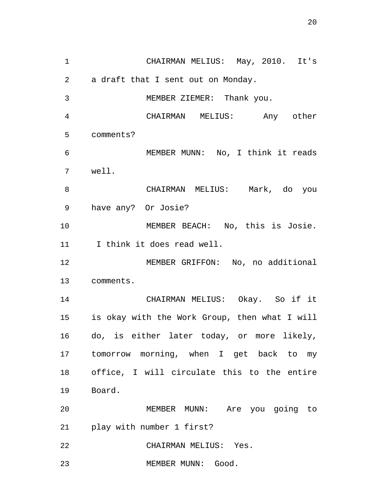1 CHAIRMAN MELIUS: May, 2010. It's 2 a draft that I sent out on Monday. 3 MEMBER ZIEMER: Thank you. 4 CHAIRMAN MELIUS: Any other 5 comments? 6 MEMBER MUNN: No, I think it reads 7 well. 8 CHAIRMAN MELIUS: Mark, do you 9 have any? Or Josie? 10 MEMBER BEACH: No, this is Josie. 11 I think it does read well. 12 MEMBER GRIFFON: No, no additional 13 comments. 14 CHAIRMAN MELIUS: Okay. So if it 15 is okay with the Work Group, then what I will 16 do, is either later today, or more likely, 17 tomorrow morning, when I get back to my 18 office, I will circulate this to the entire 19 Board. 20 MEMBER MUNN: Are you going to 21 play with number 1 first? 22 CHAIRMAN MELIUS: Yes. 23 MEMBER MUNN: Good.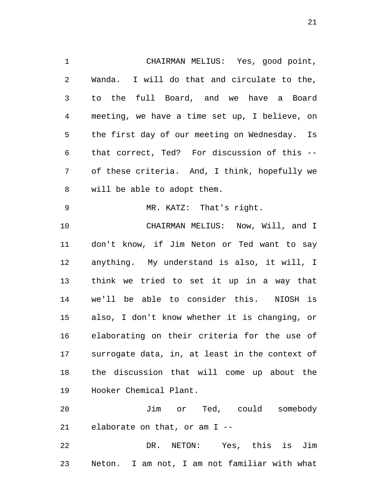1 CHAIRMAN MELIUS: Yes, good point, 2 Wanda. I will do that and circulate to the, 3 to the full Board, and we have a Board 4 meeting, we have a time set up, I believe, on 5 the first day of our meeting on Wednesday. Is 6 that correct, Ted? For discussion of this -- 7 of these criteria. And, I think, hopefully we 8 will be able to adopt them. 9 MR. KATZ: That's right. 10 CHAIRMAN MELIUS: Now, Will, and I 11 don't know, if Jim Neton or Ted want to say 12 anything. My understand is also, it will, I 13 think we tried to set it up in a way that 14 we'll be able to consider this. NIOSH is 15 also, I don't know whether it is changing, or 16 elaborating on their criteria for the use of 17 surrogate data, in, at least in the context of 18 the discussion that will come up about the 19 Hooker Chemical Plant. 20 Jim or Ted, could somebody

21 elaborate on that, or am I --

22 DR. NETON: Yes, this is Jim 23 Neton. I am not, I am not familiar with what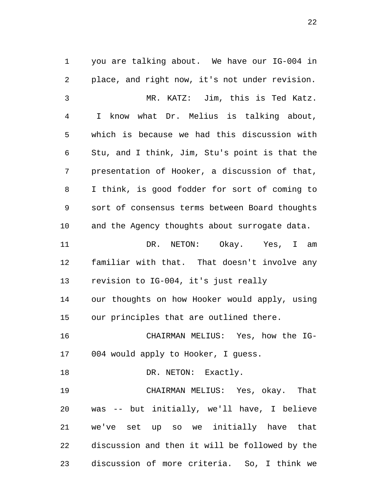1 you are talking about. We have our IG-004 in 2 place, and right now, it's not under revision. 3 MR. KATZ: Jim, this is Ted Katz. 4 I know what Dr. Melius is talking about, 5 which is because we had this discussion with 6 Stu, and I think, Jim, Stu's point is that the 7 presentation of Hooker, a discussion of that, 8 I think, is good fodder for sort of coming to 9 sort of consensus terms between Board thoughts 10 and the Agency thoughts about surrogate data. 11 DR. NETON: Okay. Yes, I am 12 familiar with that. That doesn't involve any 13 revision to IG-004, it's just really 14 our thoughts on how Hooker would apply, using 15 our principles that are outlined there. 16 CHAIRMAN MELIUS: Yes, how the IG-17 004 would apply to Hooker, I guess. 18 DR. NETON: Exactly. 19 CHAIRMAN MELIUS: Yes, okay. That 20 was -- but initially, we'll have, I believe 21 we've set up so we initially have that 22 discussion and then it will be followed by the 23 discussion of more criteria. So, I think we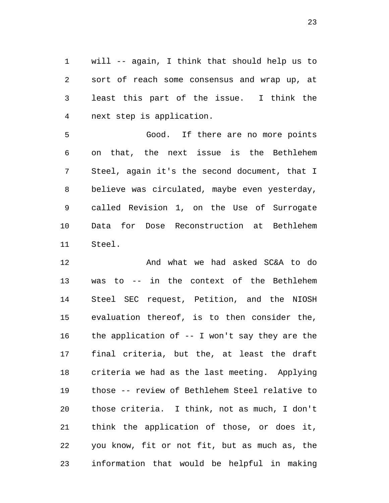1 will -- again, I think that should help us to 2 sort of reach some consensus and wrap up, at 3 least this part of the issue. I think the 4 next step is application.

5 Good. If there are no more points 6 on that, the next issue is the Bethlehem 7 Steel, again it's the second document, that I 8 believe was circulated, maybe even yesterday, 9 called Revision 1, on the Use of Surrogate 10 Data for Dose Reconstruction at Bethlehem 11 Steel.

12 And what we had asked SC&A to do 13 was to -- in the context of the Bethlehem 14 Steel SEC request, Petition, and the NIOSH 15 evaluation thereof, is to then consider the, 16 the application of -- I won't say they are the 17 final criteria, but the, at least the draft 18 criteria we had as the last meeting. Applying 19 those -- review of Bethlehem Steel relative to 20 those criteria. I think, not as much, I don't 21 think the application of those, or does it, 22 you know, fit or not fit, but as much as, the 23 information that would be helpful in making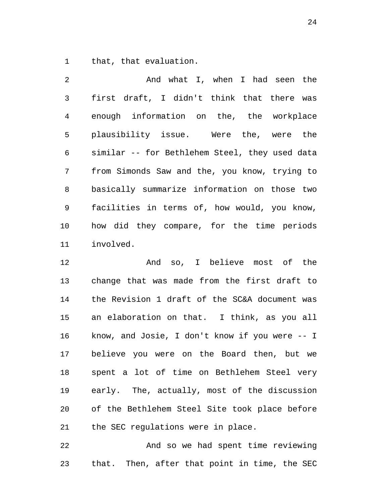1 that, that evaluation.

2 And what I, when I had seen the 3 first draft, I didn't think that there was 4 enough information on the, the workplace 5 plausibility issue. Were the, were the 6 similar -- for Bethlehem Steel, they used data 7 from Simonds Saw and the, you know, trying to 8 basically summarize information on those two 9 facilities in terms of, how would, you know, 10 how did they compare, for the time periods 11 involved.

12 And so, I believe most of the 13 change that was made from the first draft to 14 the Revision 1 draft of the SC&A document was 15 an elaboration on that. I think, as you all 16 know, and Josie, I don't know if you were -- I 17 believe you were on the Board then, but we 18 spent a lot of time on Bethlehem Steel very 19 early. The, actually, most of the discussion 20 of the Bethlehem Steel Site took place before 21 the SEC regulations were in place.

22 And so we had spent time reviewing 23 that. Then, after that point in time, the SEC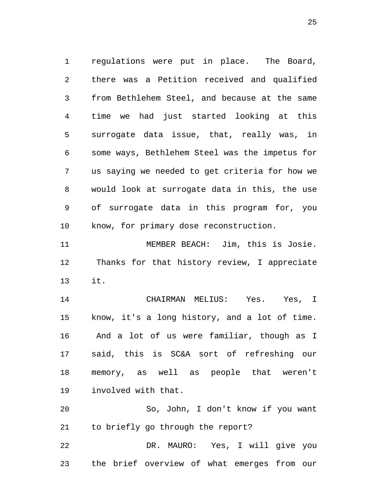1 regulations were put in place. The Board, 2 there was a Petition received and qualified 3 from Bethlehem Steel, and because at the same 4 time we had just started looking at this 5 surrogate data issue, that, really was, in 6 some ways, Bethlehem Steel was the impetus for 7 us saying we needed to get criteria for how we 8 would look at surrogate data in this, the use 9 of surrogate data in this program for, you 10 know, for primary dose reconstruction.

11 MEMBER BEACH: Jim, this is Josie. 12 Thanks for that history review, I appreciate 13 it.

14 CHAIRMAN MELIUS: Yes. Yes, I 15 know, it's a long history, and a lot of time. 16 And a lot of us were familiar, though as I 17 said, this is SC&A sort of refreshing our 18 memory, as well as people that weren't 19 involved with that.

20 So, John, I don't know if you want 21 to briefly go through the report?

22 DR. MAURO: Yes, I will give you 23 the brief overview of what emerges from our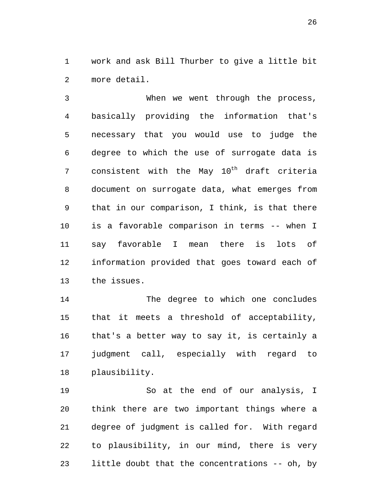1 work and ask Bill Thurber to give a little bit 2 more detail.

3 When we went through the process, 4 basically providing the information that's 5 necessary that you would use to judge the 6 degree to which the use of surrogate data is 7 consistent with the May  $10^{th}$  draft criteria 8 document on surrogate data, what emerges from 9 that in our comparison, I think, is that there 10 is a favorable comparison in terms -- when I 11 say favorable I mean there is lots of 12 information provided that goes toward each of 13 the issues.

14 The degree to which one concludes 15 that it meets a threshold of acceptability, 16 that's a better way to say it, is certainly a 17 judgment call, especially with regard to 18 plausibility.

19 So at the end of our analysis, I 20 think there are two important things where a 21 degree of judgment is called for. With regard 22 to plausibility, in our mind, there is very 23 little doubt that the concentrations -- oh, by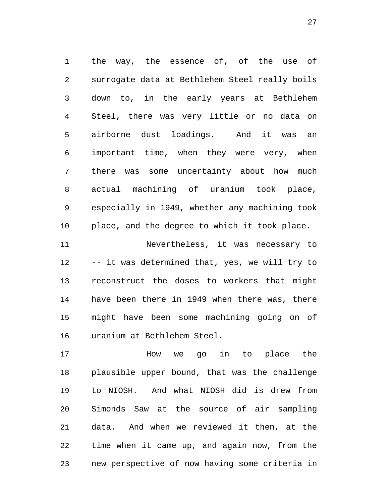1 the way, the essence of, of the use of 2 surrogate data at Bethlehem Steel really boils 3 down to, in the early years at Bethlehem 4 Steel, there was very little or no data on 5 airborne dust loadings. And it was an 6 important time, when they were very, when 7 there was some uncertainty about how much 8 actual machining of uranium took place, 9 especially in 1949, whether any machining took 10 place, and the degree to which it took place.

11 Nevertheless, it was necessary to 12 -- it was determined that, yes, we will try to 13 reconstruct the doses to workers that might 14 have been there in 1949 when there was, there 15 might have been some machining going on of 16 uranium at Bethlehem Steel.

17 How we go in to place the 18 plausible upper bound, that was the challenge 19 to NIOSH. And what NIOSH did is drew from 20 Simonds Saw at the source of air sampling 21 data. And when we reviewed it then, at the 22 time when it came up, and again now, from the 23 new perspective of now having some criteria in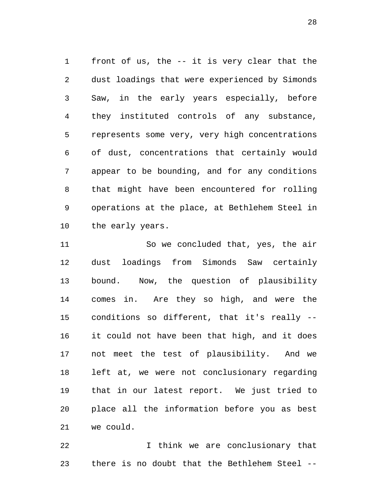1 front of us, the -- it is very clear that the 2 dust loadings that were experienced by Simonds 3 Saw, in the early years especially, before 4 they instituted controls of any substance, 5 represents some very, very high concentrations 6 of dust, concentrations that certainly would 7 appear to be bounding, and for any conditions 8 that might have been encountered for rolling 9 operations at the place, at Bethlehem Steel in 10 the early years.

11 So we concluded that, yes, the air 12 dust loadings from Simonds Saw certainly 13 bound. Now, the question of plausibility 14 comes in. Are they so high, and were the 15 conditions so different, that it's really -- 16 it could not have been that high, and it does 17 not meet the test of plausibility. And we 18 left at, we were not conclusionary regarding 19 that in our latest report. We just tried to 20 place all the information before you as best 21 we could.

22 I think we are conclusionary that 23 there is no doubt that the Bethlehem Steel --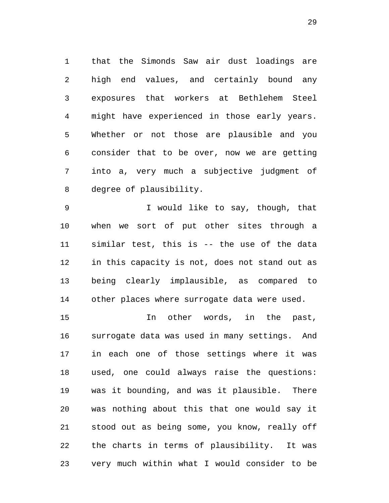1 that the Simonds Saw air dust loadings are 2 high end values, and certainly bound any 3 exposures that workers at Bethlehem Steel 4 might have experienced in those early years. 5 Whether or not those are plausible and you 6 consider that to be over, now we are getting 7 into a, very much a subjective judgment of 8 degree of plausibility.

9 I would like to say, though, that 10 when we sort of put other sites through a 11 similar test, this is -- the use of the data 12 in this capacity is not, does not stand out as 13 being clearly implausible, as compared to 14 other places where surrogate data were used.

15 In other words, in the past, 16 surrogate data was used in many settings. And 17 in each one of those settings where it was 18 used, one could always raise the questions: 19 was it bounding, and was it plausible. There 20 was nothing about this that one would say it 21 stood out as being some, you know, really off 22 the charts in terms of plausibility. It was 23 very much within what I would consider to be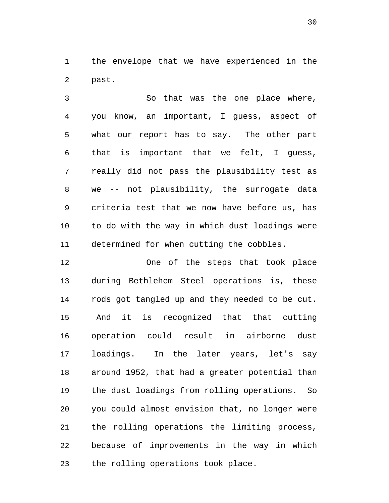1 the envelope that we have experienced in the 2 past.

3 So that was the one place where, 4 you know, an important, I guess, aspect of 5 what our report has to say. The other part 6 that is important that we felt, I guess, 7 really did not pass the plausibility test as 8 we -- not plausibility, the surrogate data 9 criteria test that we now have before us, has 10 to do with the way in which dust loadings were 11 determined for when cutting the cobbles.

12 One of the steps that took place 13 during Bethlehem Steel operations is, these 14 rods got tangled up and they needed to be cut. 15 And it is recognized that that cutting 16 operation could result in airborne dust 17 loadings. In the later years, let's say 18 around 1952, that had a greater potential than 19 the dust loadings from rolling operations. So 20 you could almost envision that, no longer were 21 the rolling operations the limiting process, 22 because of improvements in the way in which 23 the rolling operations took place.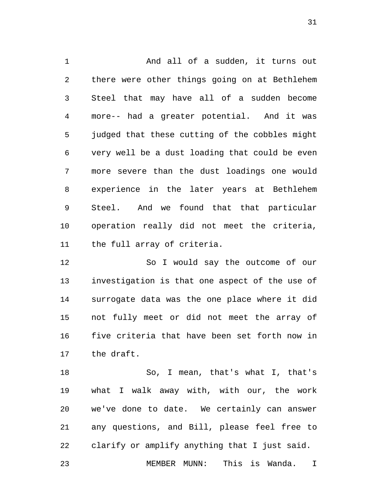1 and all of a sudden, it turns out 2 there were other things going on at Bethlehem 3 Steel that may have all of a sudden become 4 more-- had a greater potential. And it was 5 judged that these cutting of the cobbles might 6 very well be a dust loading that could be even 7 more severe than the dust loadings one would 8 experience in the later years at Bethlehem 9 Steel. And we found that that particular 10 operation really did not meet the criteria, 11 the full array of criteria.

12 So I would say the outcome of our 13 investigation is that one aspect of the use of 14 surrogate data was the one place where it did 15 not fully meet or did not meet the array of 16 five criteria that have been set forth now in 17 the draft.

18 So, I mean, that's what I, that's 19 what I walk away with, with our, the work 20 we've done to date. We certainly can answer 21 any questions, and Bill, please feel free to 22 clarify or amplify anything that I just said. 23 MEMBER MUNN: This is Wanda. I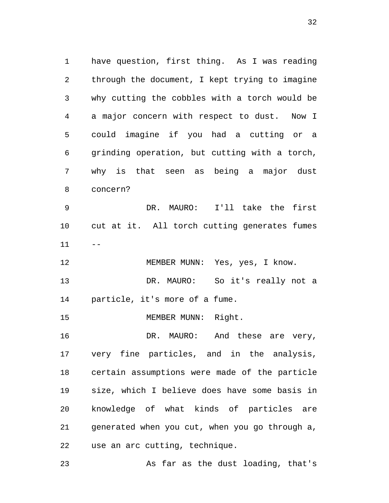1 have question, first thing. As I was reading 2 through the document, I kept trying to imagine 3 why cutting the cobbles with a torch would be 4 a major concern with respect to dust. Now I 5 could imagine if you had a cutting or a 6 grinding operation, but cutting with a torch, 7 why is that seen as being a major dust 8 concern? 9 DR. MAURO: I'll take the first 10 cut at it. All torch cutting generates fumes  $11 - -$ 12 MEMBER MUNN: Yes, yes, I know. 13 DR. MAURO: So it's really not a 14 particle, it's more of a fume. 15 MEMBER MUNN: Right. 16 DR. MAURO: And these are very, 17 very fine particles, and in the analysis, 18 certain assumptions were made of the particle 19 size, which I believe does have some basis in 20 knowledge of what kinds of particles are 21 generated when you cut, when you go through a, 22 use an arc cutting, technique.

23 As far as the dust loading, that's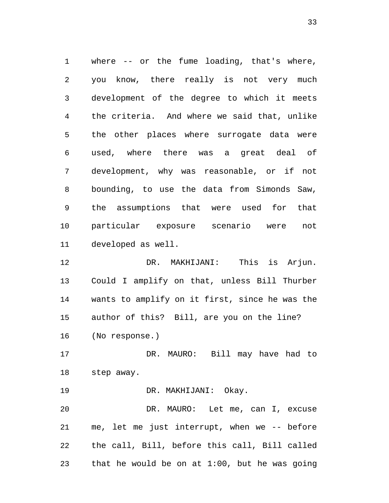1 where -- or the fume loading, that's where, 2 you know, there really is not very much 3 development of the degree to which it meets 4 the criteria. And where we said that, unlike 5 the other places where surrogate data were 6 used, where there was a great deal of 7 development, why was reasonable, or if not 8 bounding, to use the data from Simonds Saw, 9 the assumptions that were used for that 10 particular exposure scenario were not 11 developed as well.

12 DR. MAKHIJANI: This is Arjun. 13 Could I amplify on that, unless Bill Thurber 14 wants to amplify on it first, since he was the 15 author of this? Bill, are you on the line? 16 (No response.)

17 DR. MAURO: Bill may have had to 18 step away.

19 DR. MAKHIJANI: Okay.

20 DR. MAURO: Let me, can I, excuse 21 me, let me just interrupt, when we -- before 22 the call, Bill, before this call, Bill called 23 that he would be on at 1:00, but he was going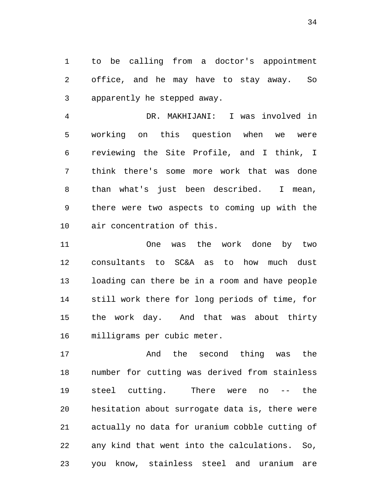1 to be calling from a doctor's appointment 2 office, and he may have to stay away. So 3 apparently he stepped away.

4 DR. MAKHIJANI: I was involved in 5 working on this question when we were 6 reviewing the Site Profile, and I think, I 7 think there's some more work that was done 8 than what's just been described. I mean, 9 there were two aspects to coming up with the 10 air concentration of this.

11 One was the work done by two 12 consultants to SC&A as to how much dust 13 loading can there be in a room and have people 14 still work there for long periods of time, for 15 the work day. And that was about thirty 16 milligrams per cubic meter.

17 And the second thing was the 18 number for cutting was derived from stainless 19 steel cutting. There were no -- the 20 hesitation about surrogate data is, there were 21 actually no data for uranium cobble cutting of 22 any kind that went into the calculations. So, 23 you know, stainless steel and uranium are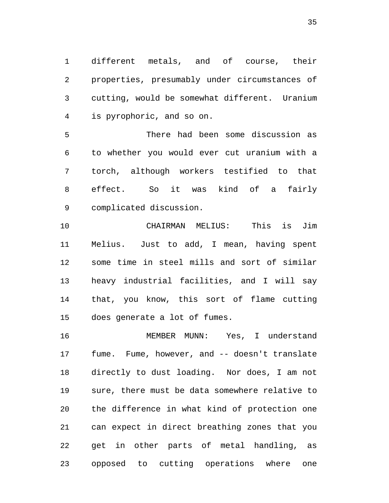1 different metals, and of course, their 2 properties, presumably under circumstances of 3 cutting, would be somewhat different. Uranium 4 is pyrophoric, and so on.

5 There had been some discussion as 6 to whether you would ever cut uranium with a 7 torch, although workers testified to that 8 effect. So it was kind of a fairly 9 complicated discussion.

10 CHAIRMAN MELIUS: This is Jim 11 Melius. Just to add, I mean, having spent 12 some time in steel mills and sort of similar 13 heavy industrial facilities, and I will say 14 that, you know, this sort of flame cutting 15 does generate a lot of fumes.

16 MEMBER MUNN: Yes, I understand 17 fume. Fume, however, and -- doesn't translate 18 directly to dust loading. Nor does, I am not 19 sure, there must be data somewhere relative to 20 the difference in what kind of protection one 21 can expect in direct breathing zones that you 22 get in other parts of metal handling, as 23 opposed to cutting operations where one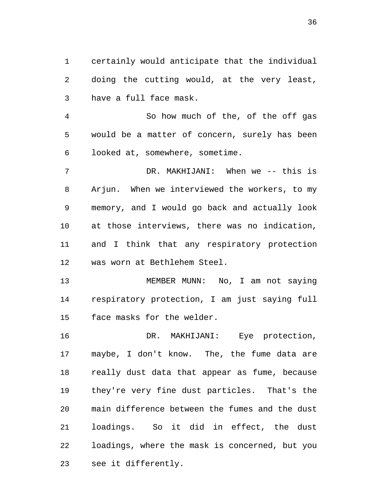1 certainly would anticipate that the individual 2 doing the cutting would, at the very least, 3 have a full face mask.

4 So how much of the, of the off gas 5 would be a matter of concern, surely has been 6 looked at, somewhere, sometime.

7 DR. MAKHIJANI: When we -- this is 8 Arjun. When we interviewed the workers, to my 9 memory, and I would go back and actually look 10 at those interviews, there was no indication, 11 and I think that any respiratory protection 12 was worn at Bethlehem Steel.

13 MEMBER MUNN: No, I am not saying 14 respiratory protection, I am just saying full 15 face masks for the welder.

16 DR. MAKHIJANI: Eye protection, 17 maybe, I don't know. The, the fume data are 18 really dust data that appear as fume, because 19 they're very fine dust particles. That's the 20 main difference between the fumes and the dust 21 loadings. So it did in effect, the dust 22 loadings, where the mask is concerned, but you 23 see it differently.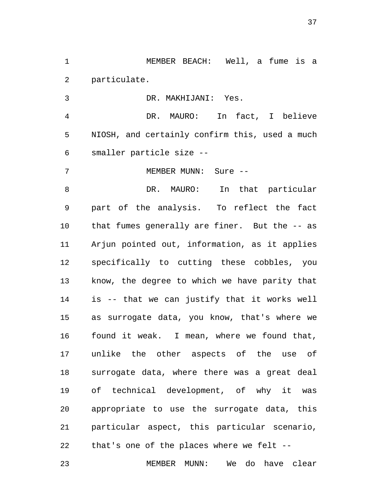1 MEMBER BEACH: Well, a fume is a 2 particulate.

3 DR. MAKHIJANI: Yes.

4 DR. MAURO: In fact, I believe 5 NIOSH, and certainly confirm this, used a much 6 smaller particle size --

7 MEMBER MUNN: Sure --

8 DR. MAURO: In that particular 9 part of the analysis. To reflect the fact 10 that fumes generally are finer. But the -- as 11 Arjun pointed out, information, as it applies 12 specifically to cutting these cobbles, you 13 know, the degree to which we have parity that 14 is -- that we can justify that it works well 15 as surrogate data, you know, that's where we 16 found it weak. I mean, where we found that, 17 unlike the other aspects of the use of 18 surrogate data, where there was a great deal 19 of technical development, of why it was 20 appropriate to use the surrogate data, this 21 particular aspect, this particular scenario, 22 that's one of the places where we felt --

23 MEMBER MUNN: We do have clear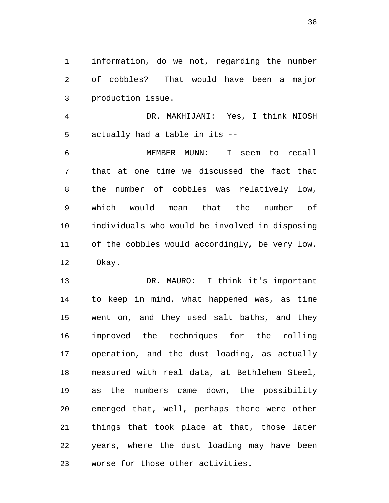1 information, do we not, regarding the number 2 of cobbles? That would have been a major 3 production issue.

4 DR. MAKHIJANI: Yes, I think NIOSH 5 actually had a table in its --

6 MEMBER MUNN: I seem to recall 7 that at one time we discussed the fact that 8 the number of cobbles was relatively low, 9 which would mean that the number of 10 individuals who would be involved in disposing 11 of the cobbles would accordingly, be very low. 12 Okay.

13 DR. MAURO: I think it's important 14 to keep in mind, what happened was, as time 15 went on, and they used salt baths, and they 16 improved the techniques for the rolling 17 operation, and the dust loading, as actually 18 measured with real data, at Bethlehem Steel, 19 as the numbers came down, the possibility 20 emerged that, well, perhaps there were other 21 things that took place at that, those later 22 years, where the dust loading may have been 23 worse for those other activities.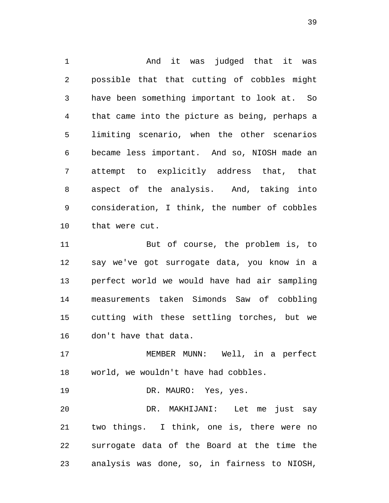1 and it was judged that it was 2 possible that that cutting of cobbles might 3 have been something important to look at. So 4 that came into the picture as being, perhaps a 5 limiting scenario, when the other scenarios 6 became less important. And so, NIOSH made an 7 attempt to explicitly address that, that 8 aspect of the analysis. And, taking into 9 consideration, I think, the number of cobbles 10 that were cut.

11 But of course, the problem is, to 12 say we've got surrogate data, you know in a 13 perfect world we would have had air sampling 14 measurements taken Simonds Saw of cobbling 15 cutting with these settling torches, but we 16 don't have that data.

17 MEMBER MUNN: Well, in a perfect 18 world, we wouldn't have had cobbles.

19 DR. MAURO: Yes, yes.

20 DR. MAKHIJANI: Let me just say 21 two things. I think, one is, there were no 22 surrogate data of the Board at the time the 23 analysis was done, so, in fairness to NIOSH,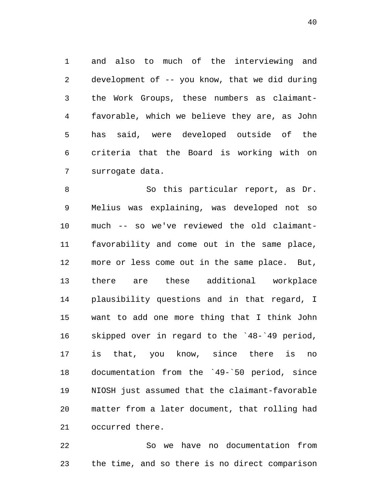1 and also to much of the interviewing and 2 development of -- you know, that we did during 3 the Work Groups, these numbers as claimant-4 favorable, which we believe they are, as John 5 has said, were developed outside of the 6 criteria that the Board is working with on 7 surrogate data.

8 So this particular report, as Dr. 9 Melius was explaining, was developed not so 10 much -- so we've reviewed the old claimant-11 favorability and come out in the same place, 12 more or less come out in the same place. But, 13 there are these additional workplace 14 plausibility questions and in that regard, I 15 want to add one more thing that I think John 16 skipped over in regard to the `48-`49 period, 17 is that, you know, since there is no 18 documentation from the `49-`50 period, since 19 NIOSH just assumed that the claimant-favorable 20 matter from a later document, that rolling had 21 occurred there.

22 So we have no documentation from 23 the time, and so there is no direct comparison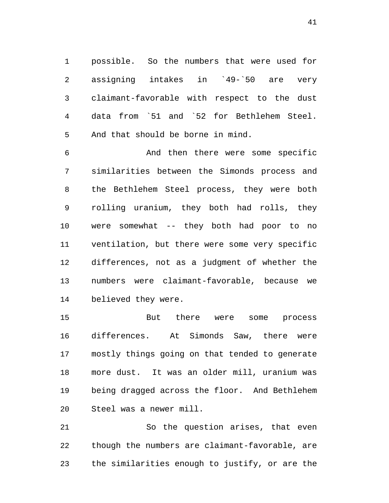1 possible. So the numbers that were used for 2 assigning intakes in `49-`50 are very 3 claimant-favorable with respect to the dust 4 data from `51 and `52 for Bethlehem Steel. 5 And that should be borne in mind.

6 And then there were some specific 7 similarities between the Simonds process and 8 the Bethlehem Steel process, they were both 9 rolling uranium, they both had rolls, they 10 were somewhat -- they both had poor to no 11 ventilation, but there were some very specific 12 differences, not as a judgment of whether the 13 numbers were claimant-favorable, because we 14 believed they were.

15 But there were some process 16 differences. At Simonds Saw, there were 17 mostly things going on that tended to generate 18 more dust. It was an older mill, uranium was 19 being dragged across the floor. And Bethlehem 20 Steel was a newer mill.

21 So the question arises, that even 22 though the numbers are claimant-favorable, are 23 the similarities enough to justify, or are the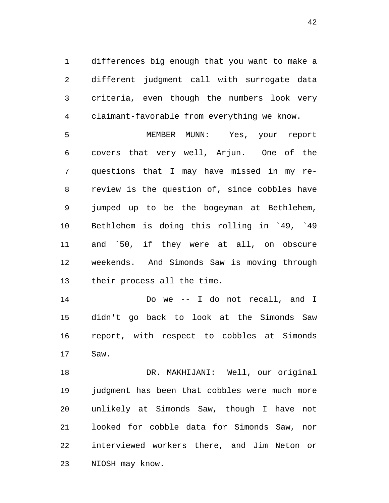1 differences big enough that you want to make a 2 different judgment call with surrogate data 3 criteria, even though the numbers look very 4 claimant-favorable from everything we know.

5 MEMBER MUNN: Yes, your report 6 covers that very well, Arjun. One of the 7 questions that I may have missed in my re-8 review is the question of, since cobbles have 9 jumped up to be the bogeyman at Bethlehem, 10 Bethlehem is doing this rolling in `49, `49 11 and `50, if they were at all, on obscure 12 weekends. And Simonds Saw is moving through 13 their process all the time.

14 Do we -- I do not recall, and I 15 didn't go back to look at the Simonds Saw 16 report, with respect to cobbles at Simonds 17 Saw.

18 DR. MAKHIJANI: Well, our original 19 judgment has been that cobbles were much more 20 unlikely at Simonds Saw, though I have not 21 looked for cobble data for Simonds Saw, nor 22 interviewed workers there, and Jim Neton or 23 NIOSH may know.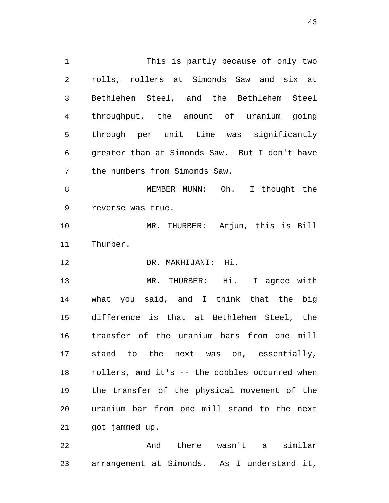1 This is partly because of only two 2 rolls, rollers at Simonds Saw and six at 3 Bethlehem Steel, and the Bethlehem Steel 4 throughput, the amount of uranium going 5 through per unit time was significantly 6 greater than at Simonds Saw. But I don't have 7 the numbers from Simonds Saw. 8 MEMBER MUNN: Oh. I thought the 9 reverse was true.

10 MR. THURBER: Arjun, this is Bill 11 Thurber.

12 DR. MAKHIJANI: Hi.

13 MR. THURBER: Hi. I agree with 14 what you said, and I think that the big 15 difference is that at Bethlehem Steel, the 16 transfer of the uranium bars from one mill 17 stand to the next was on, essentially, 18 rollers, and it's -- the cobbles occurred when 19 the transfer of the physical movement of the 20 uranium bar from one mill stand to the next 21 got jammed up.

22 And there wasn't a similar 23 arrangement at Simonds. As I understand it,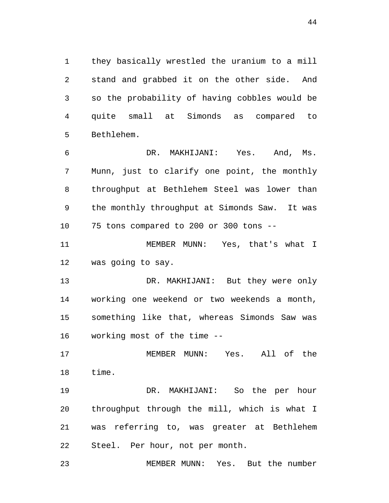1 they basically wrestled the uranium to a mill 2 stand and grabbed it on the other side. And 3 so the probability of having cobbles would be 4 quite small at Simonds as compared to 5 Bethlehem.

6 DR. MAKHIJANI: Yes. And, Ms. 7 Munn, just to clarify one point, the monthly 8 throughput at Bethlehem Steel was lower than 9 the monthly throughput at Simonds Saw. It was 10 75 tons compared to 200 or 300 tons --

11 MEMBER MUNN: Yes, that's what I 12 was going to say.

13 DR. MAKHIJANI: But they were only 14 working one weekend or two weekends a month, 15 something like that, whereas Simonds Saw was 16 working most of the time --

17 MEMBER MUNN: Yes. All of the 18 time.

19 DR. MAKHIJANI: So the per hour 20 throughput through the mill, which is what I 21 was referring to, was greater at Bethlehem 22 Steel. Per hour, not per month.

23 MEMBER MUNN: Yes. But the number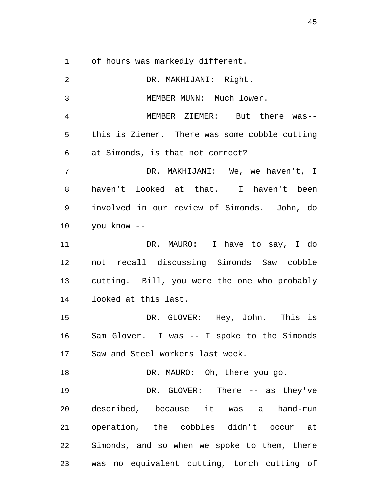1 of hours was markedly different.

| 2  | DR. MAKHIJANI: Right.                         |
|----|-----------------------------------------------|
| 3  | MEMBER MUNN: Much lower.                      |
| 4  | MEMBER ZIEMER: But there was--                |
| 5  | this is Ziemer. There was some cobble cutting |
| 6  | at Simonds, is that not correct?              |
| 7  | DR. MAKHIJANI: We, we haven't, I              |
| 8  | haven't looked at that. I haven't been        |
| 9  | involved in our review of Simonds. John, do   |
| 10 | you know --                                   |
| 11 | DR. MAURO: I have to say, I do                |
| 12 | not recall discussing Simonds Saw cobble      |
| 13 | cutting. Bill, you were the one who probably  |
| 14 | looked at this last.                          |
| 15 | DR. GLOVER: Hey, John. This is                |
| 16 | Sam Glover. I was -- I spoke to the Simonds   |
| 17 | Saw and Steel workers last week.              |
| 18 | DR. MAURO: Oh, there you go.                  |
| 19 | DR. GLOVER: There -- as they've               |
| 20 | described, because it was a hand-run          |
| 21 | operation, the cobbles didn't occur at        |
| 22 | Simonds, and so when we spoke to them, there  |
| 23 | was no equivalent cutting, torch cutting of   |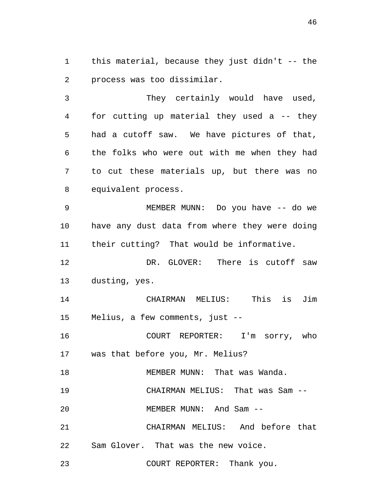1 this material, because they just didn't -- the 2 process was too dissimilar.

3 They certainly would have used, 4 for cutting up material they used a -- they 5 had a cutoff saw. We have pictures of that, 6 the folks who were out with me when they had 7 to cut these materials up, but there was no 8 equivalent process.

9 MEMBER MUNN: Do you have -- do we 10 have any dust data from where they were doing 11 their cutting? That would be informative.

12 DR. GLOVER: There is cutoff saw 13 dusting, yes.

14 CHAIRMAN MELIUS: This is Jim 15 Melius, a few comments, just --

16 COURT REPORTER: I'm sorry, who 17 was that before you, Mr. Melius?

18 MEMBER MUNN: That was Wanda.

19 CHAIRMAN MELIUS: That was Sam --

20 MEMBER MUNN: And Sam --

21 CHAIRMAN MELIUS: And before that 22 Sam Glover. That was the new voice.

23 COURT REPORTER: Thank you.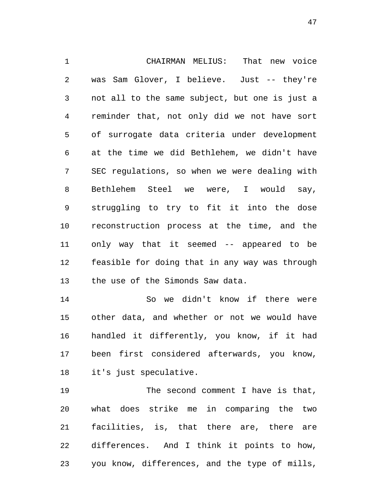1 CHAIRMAN MELIUS: That new voice 2 was Sam Glover, I believe. Just -- they're 3 not all to the same subject, but one is just a 4 reminder that, not only did we not have sort 5 of surrogate data criteria under development 6 at the time we did Bethlehem, we didn't have 7 SEC regulations, so when we were dealing with 8 Bethlehem Steel we were, I would say, 9 struggling to try to fit it into the dose 10 reconstruction process at the time, and the 11 only way that it seemed -- appeared to be 12 feasible for doing that in any way was through 13 the use of the Simonds Saw data.

14 So we didn't know if there were 15 other data, and whether or not we would have 16 handled it differently, you know, if it had 17 been first considered afterwards, you know, 18 it's just speculative.

19 The second comment I have is that, 20 what does strike me in comparing the two 21 facilities, is, that there are, there are 22 differences. And I think it points to how, 23 you know, differences, and the type of mills,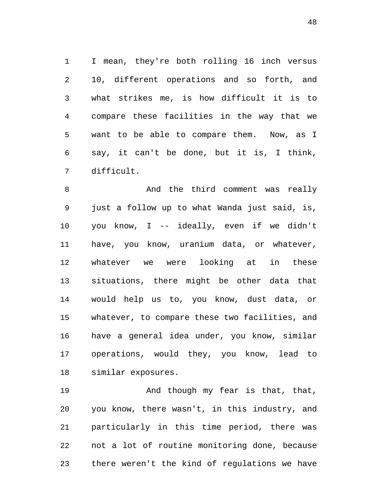1 I mean, they're both rolling 16 inch versus 2 10, different operations and so forth, and 3 what strikes me, is how difficult it is to 4 compare these facilities in the way that we 5 want to be able to compare them. Now, as I 6 say, it can't be done, but it is, I think, 7 difficult.

8 And the third comment was really 9 just a follow up to what Wanda just said, is, 10 you know, I -- ideally, even if we didn't 11 have, you know, uranium data, or whatever, 12 whatever we were looking at in these 13 situations, there might be other data that 14 would help us to, you know, dust data, or 15 whatever, to compare these two facilities, and 16 have a general idea under, you know, similar 17 operations, would they, you know, lead to 18 similar exposures.

19 And though my fear is that, that, 20 you know, there wasn't, in this industry, and 21 particularly in this time period, there was 22 not a lot of routine monitoring done, because 23 there weren't the kind of regulations we have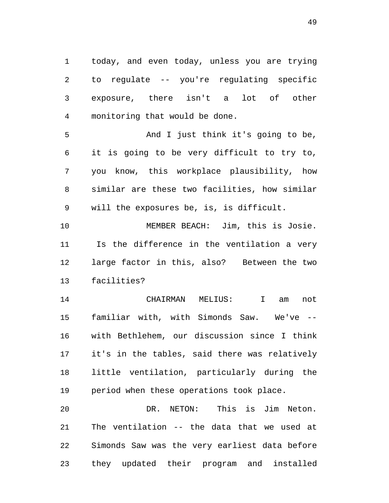1 today, and even today, unless you are trying 2 to regulate -- you're regulating specific 3 exposure, there isn't a lot of other 4 monitoring that would be done.

5 And I just think it's going to be, 6 it is going to be very difficult to try to, 7 you know, this workplace plausibility, how 8 similar are these two facilities, how similar 9 will the exposures be, is, is difficult.

10 MEMBER BEACH: Jim, this is Josie. 11 Is the difference in the ventilation a very 12 large factor in this, also? Between the two 13 facilities?

14 CHAIRMAN MELIUS: I am not 15 familiar with, with Simonds Saw. We've -- 16 with Bethlehem, our discussion since I think 17 it's in the tables, said there was relatively 18 little ventilation, particularly during the 19 period when these operations took place.

20 DR. NETON: This is Jim Neton. 21 The ventilation -- the data that we used at 22 Simonds Saw was the very earliest data before 23 they updated their program and installed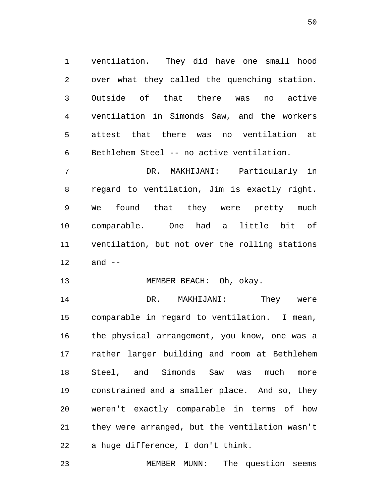1 ventilation. They did have one small hood 2 over what they called the quenching station. 3 Outside of that there was no active 4 ventilation in Simonds Saw, and the workers 5 attest that there was no ventilation at 6 Bethlehem Steel -- no active ventilation.

7 DR. MAKHIJANI: Particularly in 8 regard to ventilation, Jim is exactly right. 9 We found that they were pretty much 10 comparable. One had a little bit of 11 ventilation, but not over the rolling stations 12 and --

13 MEMBER BEACH: Oh, okay.

14 DR. MAKHIJANI: They were 15 comparable in regard to ventilation. I mean, 16 the physical arrangement, you know, one was a 17 rather larger building and room at Bethlehem 18 Steel, and Simonds Saw was much more 19 constrained and a smaller place. And so, they 20 weren't exactly comparable in terms of how 21 they were arranged, but the ventilation wasn't 22 a huge difference, I don't think.

23 MEMBER MUNN: The question seems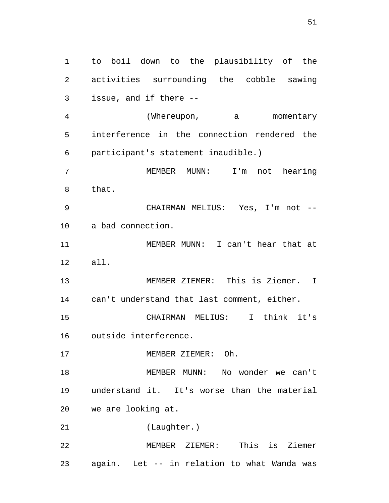1 to boil down to the plausibility of the 2 activities surrounding the cobble sawing 3 issue, and if there -- 4 (Whereupon, a momentary 5 interference in the connection rendered the 6 participant's statement inaudible.) 7 MEMBER MUNN: I'm not hearing 8 that. 9 CHAIRMAN MELIUS: Yes, I'm not -- 10 a bad connection. 11 MEMBER MUNN: I can't hear that at 12 all. 13 MEMBER ZIEMER: This is Ziemer. I 14 can't understand that last comment, either. 15 CHAIRMAN MELIUS: I think it's 16 outside interference. 17 MEMBER ZIEMER: Oh. 18 MEMBER MUNN: No wonder we can't 19 understand it. It's worse than the material 20 we are looking at. 21 (Laughter.) 22 MEMBER ZIEMER: This is Ziemer 23 again. Let -- in relation to what Wanda was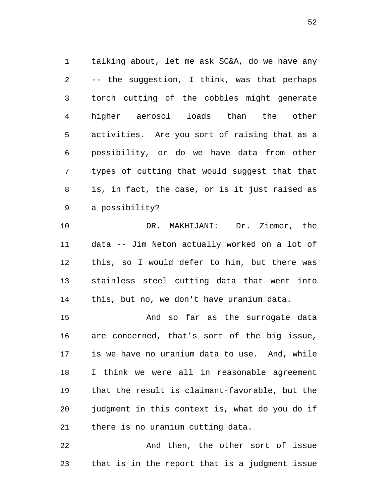1 talking about, let me ask SC&A, do we have any 2 -- the suggestion, I think, was that perhaps 3 torch cutting of the cobbles might generate 4 higher aerosol loads than the other 5 activities. Are you sort of raising that as a 6 possibility, or do we have data from other 7 types of cutting that would suggest that that 8 is, in fact, the case, or is it just raised as 9 a possibility?

10 DR. MAKHIJANI: Dr. Ziemer, the 11 data -- Jim Neton actually worked on a lot of 12 this, so I would defer to him, but there was 13 stainless steel cutting data that went into 14 this, but no, we don't have uranium data.

15 And so far as the surrogate data 16 are concerned, that's sort of the big issue, 17 is we have no uranium data to use. And, while 18 I think we were all in reasonable agreement 19 that the result is claimant-favorable, but the 20 judgment in this context is, what do you do if 21 there is no uranium cutting data.

22 And then, the other sort of issue 23 that is in the report that is a judgment issue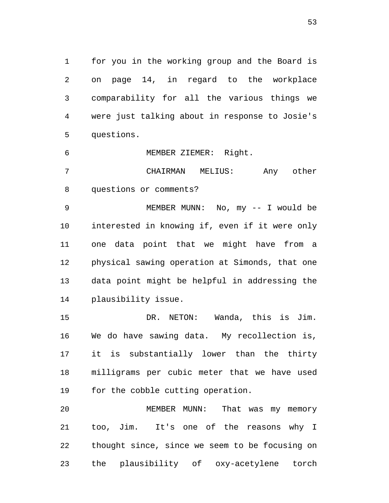1 for you in the working group and the Board is 2 on page 14, in regard to the workplace 3 comparability for all the various things we 4 were just talking about in response to Josie's 5 questions.

6 MEMBER ZIEMER: Right.

7 CHAIRMAN MELIUS: Any other 8 questions or comments?

9 MEMBER MUNN: No, my -- I would be 10 interested in knowing if, even if it were only 11 one data point that we might have from a 12 physical sawing operation at Simonds, that one 13 data point might be helpful in addressing the 14 plausibility issue.

15 DR. NETON: Wanda, this is Jim. 16 We do have sawing data. My recollection is, 17 it is substantially lower than the thirty 18 milligrams per cubic meter that we have used 19 for the cobble cutting operation.

20 MEMBER MUNN: That was my memory 21 too, Jim. It's one of the reasons why I 22 thought since, since we seem to be focusing on 23 the plausibility of oxy-acetylene torch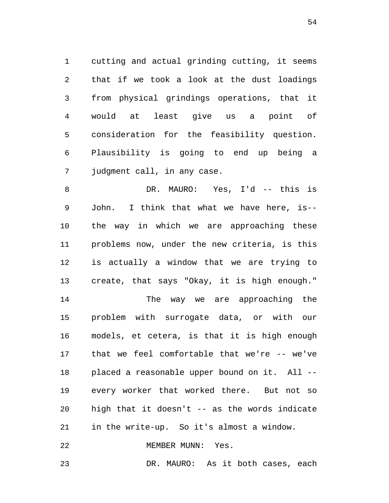1 cutting and actual grinding cutting, it seems 2 that if we took a look at the dust loadings 3 from physical grindings operations, that it 4 would at least give us a point of 5 consideration for the feasibility question. 6 Plausibility is going to end up being a 7 judgment call, in any case.

8 DR. MAURO: Yes, I'd -- this is 9 John. I think that what we have here, is-- 10 the way in which we are approaching these 11 problems now, under the new criteria, is this 12 is actually a window that we are trying to 13 create, that says "Okay, it is high enough."

14 The way we are approaching the 15 problem with surrogate data, or with our 16 models, et cetera, is that it is high enough 17 that we feel comfortable that we're -- we've 18 placed a reasonable upper bound on it. All -- 19 every worker that worked there. But not so 20 high that it doesn't -- as the words indicate 21 in the write-up. So it's almost a window.

22 MEMBER MUNN: Yes.

23 DR. MAURO: As it both cases, each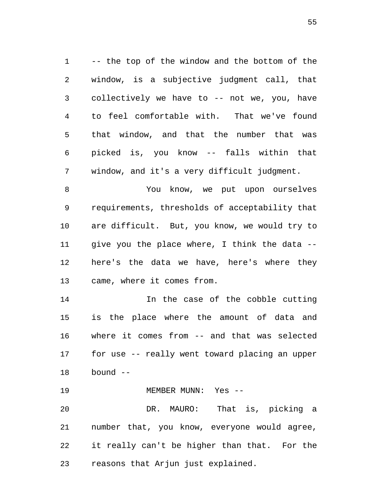1 -- the top of the window and the bottom of the 2 window, is a subjective judgment call, that 3 collectively we have to -- not we, you, have 4 to feel comfortable with. That we've found 5 that window, and that the number that was 6 picked is, you know -- falls within that 7 window, and it's a very difficult judgment.

8 You know, we put upon ourselves 9 requirements, thresholds of acceptability that 10 are difficult. But, you know, we would try to 11 give you the place where, I think the data -- 12 here's the data we have, here's where they 13 came, where it comes from.

14 In the case of the cobble cutting 15 is the place where the amount of data and 16 where it comes from -- and that was selected 17 for use -- really went toward placing an upper 18 bound --

19 MEMBER MUNN: Yes -- 20 DR. MAURO: That is, picking a 21 number that, you know, everyone would agree, 22 it really can't be higher than that. For the 23 reasons that Arjun just explained.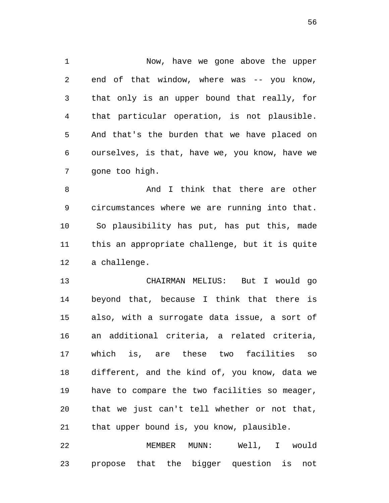1 Now, have we gone above the upper 2 end of that window, where was -- you know, 3 that only is an upper bound that really, for 4 that particular operation, is not plausible. 5 And that's the burden that we have placed on 6 ourselves, is that, have we, you know, have we 7 gone too high.

8 And I think that there are other 9 circumstances where we are running into that. 10 So plausibility has put, has put this, made 11 this an appropriate challenge, but it is quite 12 a challenge.

13 CHAIRMAN MELIUS: But I would go 14 beyond that, because I think that there is 15 also, with a surrogate data issue, a sort of 16 an additional criteria, a related criteria, 17 which is, are these two facilities so 18 different, and the kind of, you know, data we 19 have to compare the two facilities so meager, 20 that we just can't tell whether or not that, 21 that upper bound is, you know, plausible.

22 MEMBER MUNN: Well, I would 23 propose that the bigger question is not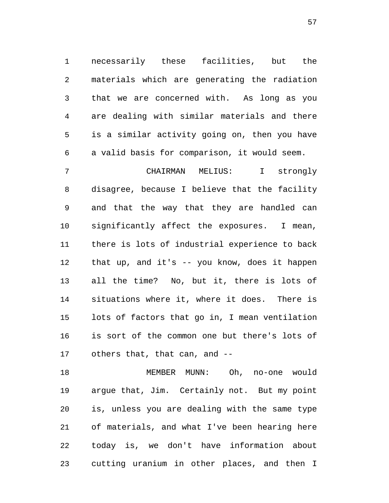1 necessarily these facilities, but the 2 materials which are generating the radiation 3 that we are concerned with. As long as you 4 are dealing with similar materials and there 5 is a similar activity going on, then you have 6 a valid basis for comparison, it would seem.

7 CHAIRMAN MELIUS: I strongly 8 disagree, because I believe that the facility 9 and that the way that they are handled can 10 significantly affect the exposures. I mean, 11 there is lots of industrial experience to back 12 that up, and it's -- you know, does it happen 13 all the time? No, but it, there is lots of 14 situations where it, where it does. There is 15 lots of factors that go in, I mean ventilation 16 is sort of the common one but there's lots of 17 others that, that can, and --

18 MEMBER MUNN: Oh, no-one would 19 argue that, Jim. Certainly not. But my point 20 is, unless you are dealing with the same type 21 of materials, and what I've been hearing here 22 today is, we don't have information about 23 cutting uranium in other places, and then I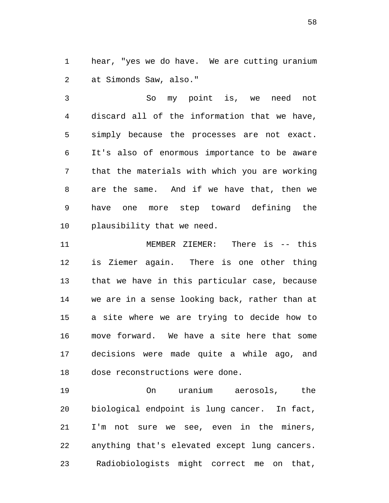1 hear, "yes we do have. We are cutting uranium 2 at Simonds Saw, also."

3 So my point is, we need not 4 discard all of the information that we have, 5 simply because the processes are not exact. 6 It's also of enormous importance to be aware 7 that the materials with which you are working 8 are the same. And if we have that, then we 9 have one more step toward defining the 10 plausibility that we need.

11 MEMBER ZIEMER: There is -- this 12 is Ziemer again. There is one other thing 13 that we have in this particular case, because 14 we are in a sense looking back, rather than at 15 a site where we are trying to decide how to 16 move forward. We have a site here that some 17 decisions were made quite a while ago, and 18 dose reconstructions were done.

19 On uranium aerosols, the 20 biological endpoint is lung cancer. In fact, 21 I'm not sure we see, even in the miners, 22 anything that's elevated except lung cancers. 23 Radiobiologists might correct me on that,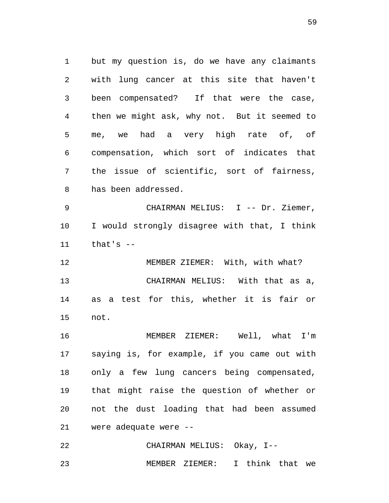1 but my question is, do we have any claimants 2 with lung cancer at this site that haven't 3 been compensated? If that were the case, 4 then we might ask, why not. But it seemed to 5 me, we had a very high rate of, of 6 compensation, which sort of indicates that 7 the issue of scientific, sort of fairness, 8 has been addressed.

9 CHAIRMAN MELIUS: I -- Dr. Ziemer, 10 I would strongly disagree with that, I think 11 that's --

12 MEMBER ZIEMER: With, with what? 13 CHAIRMAN MELIUS: With that as a, 14 as a test for this, whether it is fair or 15 not.

16 MEMBER ZIEMER: Well, what I'm 17 saying is, for example, if you came out with 18 only a few lung cancers being compensated, 19 that might raise the question of whether or 20 not the dust loading that had been assumed 21 were adequate were --

22 CHAIRMAN MELIUS: Okay, I-- 23 MEMBER ZIEMER: I think that we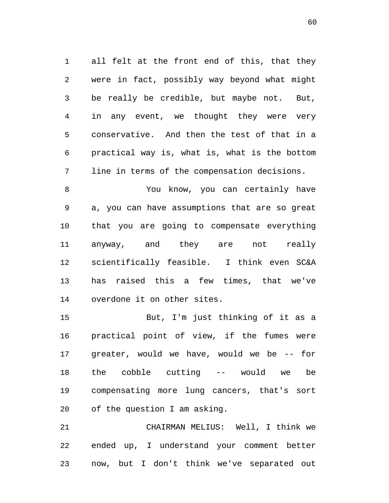1 all felt at the front end of this, that they 2 were in fact, possibly way beyond what might 3 be really be credible, but maybe not. But, 4 in any event, we thought they were very 5 conservative. And then the test of that in a 6 practical way is, what is, what is the bottom 7 line in terms of the compensation decisions.

8 You know, you can certainly have 9 a, you can have assumptions that are so great 10 that you are going to compensate everything 11 anyway, and they are not really 12 scientifically feasible. I think even SC&A 13 has raised this a few times, that we've 14 overdone it on other sites.

15 But, I'm just thinking of it as a 16 practical point of view, if the fumes were 17 greater, would we have, would we be -- for 18 the cobble cutting -- would we be 19 compensating more lung cancers, that's sort 20 of the question I am asking.

21 CHAIRMAN MELIUS: Well, I think we 22 ended up, I understand your comment better 23 now, but I don't think we've separated out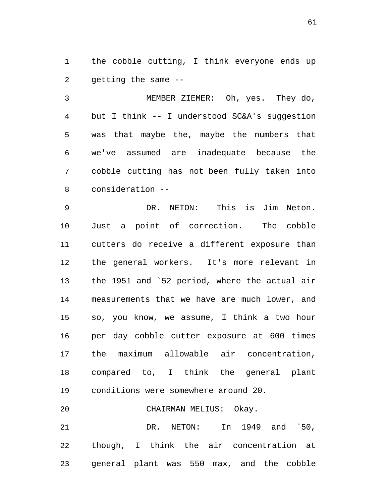1 the cobble cutting, I think everyone ends up 2 getting the same --

3 MEMBER ZIEMER: Oh, yes. They do, 4 but I think -- I understood SC&A's suggestion 5 was that maybe the, maybe the numbers that 6 we've assumed are inadequate because the 7 cobble cutting has not been fully taken into 8 consideration --

9 DR. NETON: This is Jim Neton. 10 Just a point of correction. The cobble 11 cutters do receive a different exposure than 12 the general workers. It's more relevant in 13 the 1951 and `52 period, where the actual air 14 measurements that we have are much lower, and 15 so, you know, we assume, I think a two hour 16 per day cobble cutter exposure at 600 times 17 the maximum allowable air concentration, 18 compared to, I think the general plant 19 conditions were somewhere around 20. 20 CHAIRMAN MELIUS: Okay.

21 DR. NETON: In 1949 and `50, 22 though, I think the air concentration at 23 general plant was 550 max, and the cobble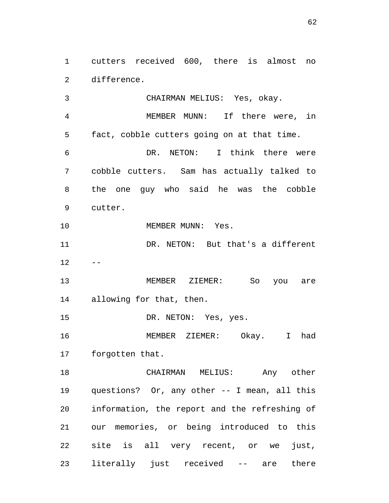1 cutters received 600, there is almost no 2 difference.

3 CHAIRMAN MELIUS: Yes, okay. 4 MEMBER MUNN: If there were, in 5 fact, cobble cutters going on at that time. 6 DR. NETON: I think there were 7 cobble cutters. Sam has actually talked to 8 the one guy who said he was the cobble 9 cutter. 10 MEMBER MUNN: Yes. 11 DR. NETON: But that's a different  $12 - -$ 13 MEMBER ZIEMER: So you are 14 allowing for that, then. 15 DR. NETON: Yes, yes. 16 MEMBER ZIEMER: Okay. I had 17 forgotten that. 18 CHAIRMAN MELIUS: Any other 19 questions? Or, any other -- I mean, all this 20 information, the report and the refreshing of 21 our memories, or being introduced to this 22 site is all very recent, or we just,

23 literally just received -- are there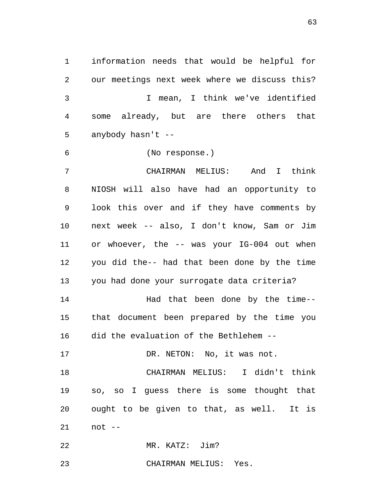1 information needs that would be helpful for 2 our meetings next week where we discuss this? 3 I mean, I think we've identified 4 some already, but are there others that 5 anybody hasn't --

6 (No response.)

7 CHAIRMAN MELIUS: And I think 8 NIOSH will also have had an opportunity to 9 look this over and if they have comments by 10 next week -- also, I don't know, Sam or Jim 11 or whoever, the -- was your IG-004 out when 12 you did the-- had that been done by the time 13 you had done your surrogate data criteria? 14 Had that been done by the time-- 15 that document been prepared by the time you

16 did the evaluation of the Bethlehem --

17 DR. NETON: No, it was not.

18 CHAIRMAN MELIUS: I didn't think 19 so, so I guess there is some thought that 20 ought to be given to that, as well. It is 21 not --

22 MR. KATZ: Jim?

23 CHAIRMAN MELIUS: Yes.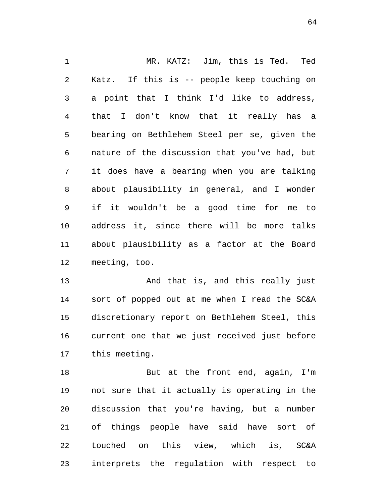1 MR. KATZ: Jim, this is Ted. Ted 2 Katz. If this is -- people keep touching on 3 a point that I think I'd like to address, 4 that I don't know that it really has a 5 bearing on Bethlehem Steel per se, given the 6 nature of the discussion that you've had, but 7 it does have a bearing when you are talking 8 about plausibility in general, and I wonder 9 if it wouldn't be a good time for me to 10 address it, since there will be more talks 11 about plausibility as a factor at the Board 12 meeting, too.

13 And that is, and this really just 14 sort of popped out at me when I read the SC&A 15 discretionary report on Bethlehem Steel, this 16 current one that we just received just before 17 this meeting.

18 But at the front end, again, I'm 19 not sure that it actually is operating in the 20 discussion that you're having, but a number 21 of things people have said have sort of 22 touched on this view, which is, SC&A 23 interprets the regulation with respect to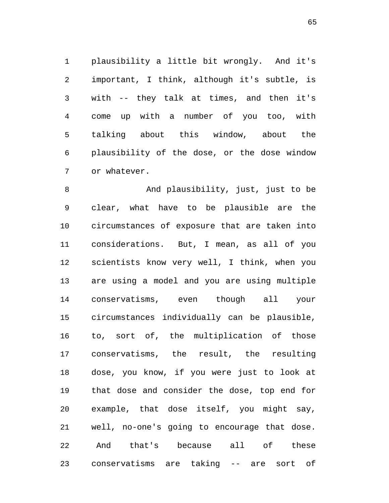1 plausibility a little bit wrongly. And it's 2 important, I think, although it's subtle, is 3 with -- they talk at times, and then it's 4 come up with a number of you too, with 5 talking about this window, about the 6 plausibility of the dose, or the dose window 7 or whatever.

8 And plausibility, just, just to be 9 clear, what have to be plausible are the 10 circumstances of exposure that are taken into 11 considerations. But, I mean, as all of you 12 scientists know very well, I think, when you 13 are using a model and you are using multiple 14 conservatisms, even though all your 15 circumstances individually can be plausible, 16 to, sort of, the multiplication of those 17 conservatisms, the result, the resulting 18 dose, you know, if you were just to look at 19 that dose and consider the dose, top end for 20 example, that dose itself, you might say, 21 well, no-one's going to encourage that dose. 22 And that's because all of these 23 conservatisms are taking -- are sort of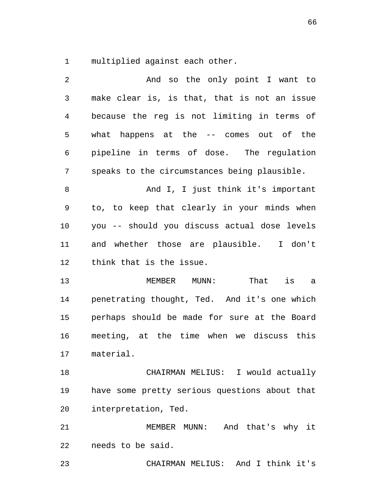1 multiplied against each other.

| 2       | And so the only point I want to               |
|---------|-----------------------------------------------|
| 3       | make clear is, is that, that is not an issue  |
| 4       | because the reg is not limiting in terms of   |
| 5       | what happens at the -- comes out of the       |
| 6       | pipeline in terms of dose. The regulation     |
| 7       | speaks to the circumstances being plausible.  |
| $\,8\,$ | And I, I just think it's important            |
| 9       | to, to keep that clearly in your minds when   |
| 10      | you -- should you discuss actual dose levels  |
| 11      | and whether those are plausible. I don't      |
| 12      | think that is the issue.                      |
| 13      | That is a<br>MEMBER MUNN:                     |
| 14      | penetrating thought, Ted. And it's one which  |
| 15      | perhaps should be made for sure at the Board  |
| 16      | meeting, at the time when we discuss this     |
| 17      | material.                                     |
| 18      | CHAIRMAN MELIUS: I would actually             |
| 19      | have some pretty serious questions about that |
| 20      | interpretation, Ted.                          |
| 21      | MEMBER MUNN: And that's why it                |
| 22      | needs to be said.                             |

23 CHAIRMAN MELIUS: And I think it's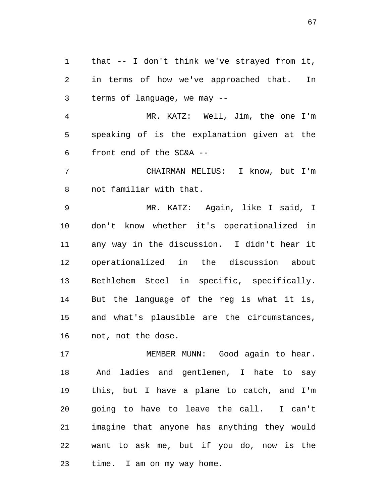1 that -- I don't think we've strayed from it, 2 in terms of how we've approached that. In 3 terms of language, we may --

4 MR. KATZ: Well, Jim, the one I'm 5 speaking of is the explanation given at the 6 front end of the SC&A --

7 CHAIRMAN MELIUS: I know, but I'm 8 not familiar with that.

9 MR. KATZ: Again, like I said, I 10 don't know whether it's operationalized in 11 any way in the discussion. I didn't hear it 12 operationalized in the discussion about 13 Bethlehem Steel in specific, specifically. 14 But the language of the reg is what it is, 15 and what's plausible are the circumstances, 16 not, not the dose.

17 MEMBER MUNN: Good again to hear. 18 And ladies and gentlemen, I hate to say 19 this, but I have a plane to catch, and I'm 20 going to have to leave the call. I can't 21 imagine that anyone has anything they would 22 want to ask me, but if you do, now is the 23 time. I am on my way home.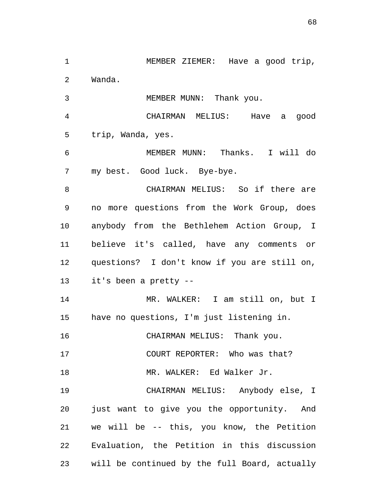1 MEMBER ZIEMER: Have a good trip, 2 Wanda. 3 MEMBER MUNN: Thank you. 4 CHAIRMAN MELIUS: Have a good 5 trip, Wanda, yes. 6 MEMBER MUNN: Thanks. I will do 7 my best. Good luck. Bye-bye. 8 CHAIRMAN MELIUS: So if there are 9 no more questions from the Work Group, does 10 anybody from the Bethlehem Action Group, I 11 believe it's called, have any comments or 12 questions? I don't know if you are still on, 13 it's been a pretty -- 14 MR. WALKER: I am still on, but I 15 have no questions, I'm just listening in. 16 CHAIRMAN MELIUS: Thank you. 17 COURT REPORTER: Who was that? 18 MR. WALKER: Ed Walker Jr. 19 CHAIRMAN MELIUS: Anybody else, I 20 just want to give you the opportunity. And 21 we will be -- this, you know, the Petition 22 Evaluation, the Petition in this discussion 23 will be continued by the full Board, actually